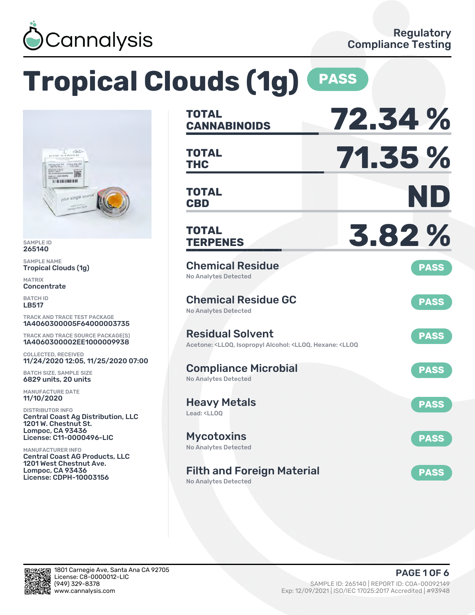

# **Tropical Clouds (1g) PASS**



SAMPLE ID 265140

SAMPLE NAME Tropical Clouds (1g)

MATRIX **Concentrate** 

BATCH ID LB517

TRACK AND TRACE TEST PACKAGE 1A4060300005F64000003735

TRACK AND TRACE SOURCE PACKAGE(S) 1A4060300002EE1000009938

COLLECTED, RECEIVED 11/24/2020 12:05, 11/25/2020 07:00

BATCH SIZE, SAMPLE SIZE 6829 units, 20 units

MANUFACTURE DATE 11/10/2020

DISTRIBUTOR INFO Central Coast Ag Distribution, LLC 1201 W. Chestnut St. Lompoc, CA 93436 License: C11-0000496-LIC

MANUFACTURER INFO Central Coast AG Products, LLC 1201 West Chestnut Ave. Lompoc, CA 93436 License: CDPH-10003156

| <b>TOTAL</b><br><b>CANNABINOIDS</b>                                                                                                   | 72.34 %     |
|---------------------------------------------------------------------------------------------------------------------------------------|-------------|
| <b>TOTAL</b><br><b>THC</b>                                                                                                            | 71.35 %     |
| <b>TOTAL</b><br><b>CBD</b>                                                                                                            | ND)         |
| <b>TOTAL</b><br><b>TERPENES</b>                                                                                                       | 3.82%       |
| <b>Chemical Residue</b><br><b>No Analytes Detected</b>                                                                                | <b>PASS</b> |
| <b>Chemical Residue GC</b><br><b>No Analytes Detected</b>                                                                             | <b>PASS</b> |
| <b>Residual Solvent</b><br>Acetone: <lloq, <lloq,="" <lloq<="" alcohol:="" hexane:="" isopropyl="" td=""><td><b>PASS</b></td></lloq,> | <b>PASS</b> |
| <b>Compliance Microbial</b><br><b>No Analytes Detected</b>                                                                            | <b>PASS</b> |
| <b>Heavy Metals</b><br>Lead: <ll00< td=""><td><b>PASS</b></td></ll00<>                                                                | <b>PASS</b> |
| <b>Mycotoxins</b><br>No Analytes Detected                                                                                             | <b>PASS</b> |
| <b>Filth and Foreign Material</b><br><b>No Analytes Detected</b>                                                                      | <b>PASS</b> |

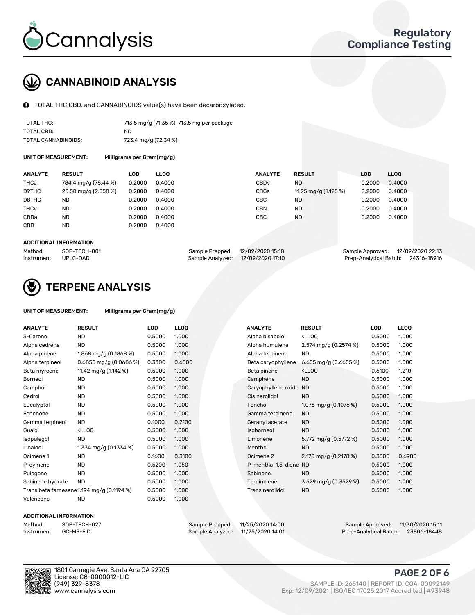

## CANNABINOID ANALYSIS

TOTAL THC,CBD, and CANNABINOIDS value(s) have been decarboxylated.

| TOTAL THC:          | 713.5 mg/g (71.35 %), 713.5 mg per package |
|---------------------|--------------------------------------------|
| TOTAL CBD:          | ND.                                        |
| TOTAL CANNABINOIDS: | 723.4 mg/g (72.34 %)                       |

UNIT OF MEASUREMENT: Milligrams per Gram(mg/g)

| <b>ANALYTE</b>         | <b>RESULT</b>        | <b>LOD</b> | <b>LLOO</b> | <b>ANALYTE</b>   | <b>RESULT</b>         | <b>LOD</b> | LL <sub>00</sub> |
|------------------------|----------------------|------------|-------------|------------------|-----------------------|------------|------------------|
| THCa                   | 784.4 mg/g (78.44 %) | 0.2000     | 0.4000      | CBD <sub>v</sub> | <b>ND</b>             | 0.2000     | 0.4000           |
| D9THC                  | 25.58 mg/g (2.558 %) | 0.2000     | 0.4000      | CBGa             | 11.25 mg/g $(1.125%)$ | 0.2000     | 0.4000           |
| D8THC                  | ND                   | 0.2000     | 0.4000      | CBG              | <b>ND</b>             | 0.2000     | 0.4000           |
| <b>THC<sub>v</sub></b> | <b>ND</b>            | 0.2000     | 0.4000      | CBN              | <b>ND</b>             | 0.2000     | 0.4000           |
| CBDa                   | <b>ND</b>            | 0.2000     | 0.4000      | CBC              | <b>ND</b>             | 0.2000     | 0.4000           |
| <b>CBD</b>             | <b>ND</b>            | 0.2000     | 0.4000      |                  |                       |            |                  |
|                        |                      |            |             |                  |                       |            |                  |

#### ADDITIONAL INFORMATION

| Method:              | SOP-TECH-001 | Sample Prepped: 12/09/2020 15:18 |                                   | Sample Approved: 12/09/2020 22:13  |  |
|----------------------|--------------|----------------------------------|-----------------------------------|------------------------------------|--|
| Instrument: UPLC-DAD |              |                                  | Sample Analyzed: 12/09/2020 17:10 | Prep-Analytical Batch: 24316-18916 |  |



## TERPENE ANALYSIS

| UNIT OF MEASUREMENT: | Milligrams per Gram(mg/g) |
|----------------------|---------------------------|
|                      |                           |

| <b>ANALYTE</b>   | <b>RESULT</b>                                                                                                        | <b>LOD</b> | <b>LLOQ</b> | <b>ANALYTE</b>        | <b>RESULT</b>                                      | <b>LOD</b> | <b>LLOQ</b> |
|------------------|----------------------------------------------------------------------------------------------------------------------|------------|-------------|-----------------------|----------------------------------------------------|------------|-------------|
| 3-Carene         | <b>ND</b>                                                                                                            | 0.5000     | 1.000       | Alpha bisabolol       | <ll0q< td=""><td>0.5000</td><td>1.000</td></ll0q<> | 0.5000     | 1.000       |
| Alpha cedrene    | <b>ND</b>                                                                                                            | 0.5000     | 1.000       | Alpha humulene        | 2.574 mg/g $(0.2574\%)$                            | 0.5000     | 1.000       |
| Alpha pinene     | 1.868 mg/g $(0.1868\%)$                                                                                              | 0.5000     | 1.000       | Alpha terpinene       | <b>ND</b>                                          | 0.5000     | 1.000       |
| Alpha terpineol  | $0.6855$ mg/g $(0.0686%)$                                                                                            | 0.3300     | 0.6500      | Beta caryophyllene    | 6.655 mg/g (0.6655 %)                              | 0.5000     | 1.000       |
| Beta myrcene     | 11.42 mg/g (1.142 %)                                                                                                 | 0.5000     | 1.000       | Beta pinene           | <ll0q< td=""><td>0.6100</td><td>1.210</td></ll0q<> | 0.6100     | 1.210       |
| Borneol          | <b>ND</b>                                                                                                            | 0.5000     | 1.000       | Camphene              | <b>ND</b>                                          | 0.5000     | 1.000       |
| Camphor          | <b>ND</b>                                                                                                            | 0.5000     | 1.000       | Caryophyllene oxide   | <b>ND</b>                                          | 0.5000     | 1.000       |
| Cedrol           | <b>ND</b>                                                                                                            | 0.5000     | 1.000       | Cis nerolidol         | <b>ND</b>                                          | 0.5000     | 1.000       |
| Eucalyptol       | <b>ND</b>                                                                                                            | 0.5000     | 1.000       | Fenchol               | 1.076 mg/g $(0.1076\%)$                            | 0.5000     | 1.000       |
| Fenchone         | <b>ND</b>                                                                                                            | 0.5000     | 1.000       | Gamma terpinene       | <b>ND</b>                                          | 0.5000     | 1.000       |
| Gamma terpineol  | <b>ND</b>                                                                                                            | 0.1000     | 0.2100      | Geranyl acetate       | <b>ND</b>                                          | 0.5000     | 1.000       |
| Guaiol           | <lloq< td=""><td>0.5000</td><td>1.000</td><td>Isoborneol</td><td><b>ND</b></td><td>0.5000</td><td>1.000</td></lloq<> | 0.5000     | 1.000       | Isoborneol            | <b>ND</b>                                          | 0.5000     | 1.000       |
| Isopulegol       | <b>ND</b>                                                                                                            | 0.5000     | 1.000       | Limonene              | 5.772 mg/g $(0.5772%)$                             | 0.5000     | 1.000       |
| Linalool         | 1.334 mg/g $(0.1334\%)$                                                                                              | 0.5000     | 1.000       | Menthol               | <b>ND</b>                                          | 0.5000     | 1.000       |
| Ocimene 1        | <b>ND</b>                                                                                                            | 0.1600     | 0.3100      | Ocimene 2             | 2.178 mg/g (0.2178 %)                              | 0.3500     | 0.6900      |
| P-cymene         | <b>ND</b>                                                                                                            | 0.5200     | 1.050       | P-mentha-1.5-diene ND |                                                    | 0.5000     | 1.000       |
| Pulegone         | <b>ND</b>                                                                                                            | 0.5000     | 1.000       | Sabinene              | <b>ND</b>                                          | 0.5000     | 1.000       |
| Sabinene hydrate | <b>ND</b>                                                                                                            | 0.5000     | 1.000       | Terpinolene           | 3.529 mg/g $(0.3529\%)$                            | 0.5000     | 1.000       |
|                  | Trans beta farnesene1.194 mg/g (0.1194 %)                                                                            | 0.5000     | 1.000       | Trans nerolidol       | <b>ND</b>                                          | 0.5000     | 1.000       |
| Valencene        | <b>ND</b>                                                                                                            | 0.5000     | 1.000       |                       |                                                    |            |             |

#### ADDITIONAL INFORMATION



Method: SOP-TECH-027 Sample Prepped: 11/25/2020 14:00 Sample Approved: 11/30/2020 15:11 Prep-Analytical Batch: 23806-18448

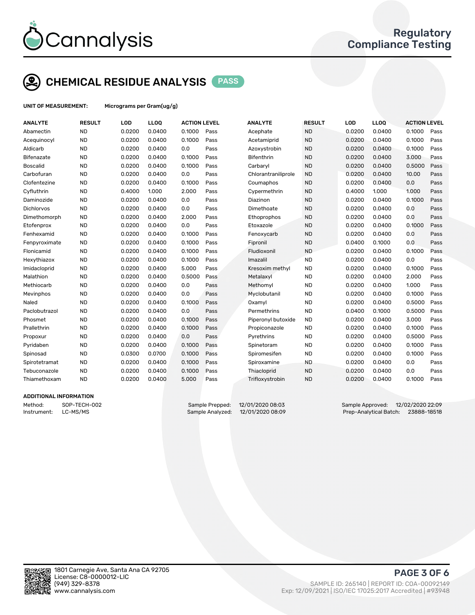

## CHEMICAL RESIDUE ANALYSIS PASS

UNIT OF MEASUREMENT: Micrograms per Gram(ug/g)

| <b>ANALYTE</b>    | <b>RESULT</b> | LOD    | LLOQ   | <b>ACTION LEVEL</b> |      | <b>ANALYTE</b>      | <b>RESULT</b> | LOD    | <b>LLOQ</b> | <b>ACTION LEVEL</b> |      |
|-------------------|---------------|--------|--------|---------------------|------|---------------------|---------------|--------|-------------|---------------------|------|
| Abamectin         | <b>ND</b>     | 0.0200 | 0.0400 | 0.1000              | Pass | Acephate            | <b>ND</b>     | 0.0200 | 0.0400      | 0.1000              | Pass |
| Acequinocyl       | <b>ND</b>     | 0.0200 | 0.0400 | 0.1000              | Pass | Acetamiprid         | <b>ND</b>     | 0.0200 | 0.0400      | 0.1000              | Pass |
| Aldicarb          | <b>ND</b>     | 0.0200 | 0.0400 | 0.0                 | Pass | Azoxystrobin        | <b>ND</b>     | 0.0200 | 0.0400      | 0.1000              | Pass |
| <b>Bifenazate</b> | <b>ND</b>     | 0.0200 | 0.0400 | 0.1000              | Pass | <b>Bifenthrin</b>   | <b>ND</b>     | 0.0200 | 0.0400      | 3.000               | Pass |
| <b>Boscalid</b>   | <b>ND</b>     | 0.0200 | 0.0400 | 0.1000              | Pass | Carbaryl            | <b>ND</b>     | 0.0200 | 0.0400      | 0.5000              | Pass |
| Carbofuran        | <b>ND</b>     | 0.0200 | 0.0400 | 0.0                 | Pass | Chlorantraniliprole | <b>ND</b>     | 0.0200 | 0.0400      | 10.00               | Pass |
| Clofentezine      | <b>ND</b>     | 0.0200 | 0.0400 | 0.1000              | Pass | Coumaphos           | <b>ND</b>     | 0.0200 | 0.0400      | 0.0                 | Pass |
| Cyfluthrin        | <b>ND</b>     | 0.4000 | 1.000  | 2.000               | Pass | Cypermethrin        | <b>ND</b>     | 0.4000 | 1.000       | 1.000               | Pass |
| Daminozide        | <b>ND</b>     | 0.0200 | 0.0400 | 0.0                 | Pass | Diazinon            | <b>ND</b>     | 0.0200 | 0.0400      | 0.1000              | Pass |
| Dichlorvos        | <b>ND</b>     | 0.0200 | 0.0400 | 0.0                 | Pass | Dimethoate          | <b>ND</b>     | 0.0200 | 0.0400      | 0.0                 | Pass |
| Dimethomorph      | <b>ND</b>     | 0.0200 | 0.0400 | 2.000               | Pass | Ethoprophos         | <b>ND</b>     | 0.0200 | 0.0400      | 0.0                 | Pass |
| Etofenprox        | <b>ND</b>     | 0.0200 | 0.0400 | 0.0                 | Pass | Etoxazole           | <b>ND</b>     | 0.0200 | 0.0400      | 0.1000              | Pass |
| Fenhexamid        | <b>ND</b>     | 0.0200 | 0.0400 | 0.1000              | Pass | Fenoxycarb          | <b>ND</b>     | 0.0200 | 0.0400      | 0.0                 | Pass |
| Fenpyroximate     | <b>ND</b>     | 0.0200 | 0.0400 | 0.1000              | Pass | Fipronil            | <b>ND</b>     | 0.0400 | 0.1000      | 0.0                 | Pass |
| Flonicamid        | <b>ND</b>     | 0.0200 | 0.0400 | 0.1000              | Pass | Fludioxonil         | <b>ND</b>     | 0.0200 | 0.0400      | 0.1000              | Pass |
| Hexythiazox       | <b>ND</b>     | 0.0200 | 0.0400 | 0.1000              | Pass | Imazalil            | <b>ND</b>     | 0.0200 | 0.0400      | 0.0                 | Pass |
| Imidacloprid      | <b>ND</b>     | 0.0200 | 0.0400 | 5.000               | Pass | Kresoxim methyl     | <b>ND</b>     | 0.0200 | 0.0400      | 0.1000              | Pass |
| Malathion         | <b>ND</b>     | 0.0200 | 0.0400 | 0.5000              | Pass | Metalaxyl           | <b>ND</b>     | 0.0200 | 0.0400      | 2.000               | Pass |
| Methiocarb        | <b>ND</b>     | 0.0200 | 0.0400 | 0.0                 | Pass | Methomyl            | <b>ND</b>     | 0.0200 | 0.0400      | 1.000               | Pass |
| Mevinphos         | <b>ND</b>     | 0.0200 | 0.0400 | 0.0                 | Pass | Myclobutanil        | <b>ND</b>     | 0.0200 | 0.0400      | 0.1000              | Pass |
| Naled             | <b>ND</b>     | 0.0200 | 0.0400 | 0.1000              | Pass | Oxamyl              | <b>ND</b>     | 0.0200 | 0.0400      | 0.5000              | Pass |
| Paclobutrazol     | <b>ND</b>     | 0.0200 | 0.0400 | 0.0                 | Pass | Permethrins         | <b>ND</b>     | 0.0400 | 0.1000      | 0.5000              | Pass |
| Phosmet           | <b>ND</b>     | 0.0200 | 0.0400 | 0.1000              | Pass | Piperonyl butoxide  | <b>ND</b>     | 0.0200 | 0.0400      | 3.000               | Pass |
| Prallethrin       | <b>ND</b>     | 0.0200 | 0.0400 | 0.1000              | Pass | Propiconazole       | <b>ND</b>     | 0.0200 | 0.0400      | 0.1000              | Pass |
| Propoxur          | <b>ND</b>     | 0.0200 | 0.0400 | 0.0                 | Pass | Pyrethrins          | <b>ND</b>     | 0.0200 | 0.0400      | 0.5000              | Pass |
| Pyridaben         | <b>ND</b>     | 0.0200 | 0.0400 | 0.1000              | Pass | Spinetoram          | <b>ND</b>     | 0.0200 | 0.0400      | 0.1000              | Pass |
| Spinosad          | <b>ND</b>     | 0.0300 | 0.0700 | 0.1000              | Pass | Spiromesifen        | <b>ND</b>     | 0.0200 | 0.0400      | 0.1000              | Pass |
| Spirotetramat     | <b>ND</b>     | 0.0200 | 0.0400 | 0.1000              | Pass | Spiroxamine         | <b>ND</b>     | 0.0200 | 0.0400      | 0.0                 | Pass |
| Tebuconazole      | <b>ND</b>     | 0.0200 | 0.0400 | 0.1000              | Pass | Thiacloprid         | <b>ND</b>     | 0.0200 | 0.0400      | 0.0                 | Pass |
| Thiamethoxam      | <b>ND</b>     | 0.0200 | 0.0400 | 5.000               | Pass | Trifloxystrobin     | <b>ND</b>     | 0.0200 | 0.0400      | 0.1000              | Pass |
|                   |               |        |        |                     |      |                     |               |        |             |                     |      |

#### ADDITIONAL INFORMATION

Method: SOP-TECH-002 Sample Prepped: 12/01/2020 08:03 Sample Approved: 12/02/2020 22:09 Instrument: LC-MS/MS Sample Analyzed: 12/01/2020 08:09 Prep-Analytical Batch: 23888-18518



PAGE 3 OF 6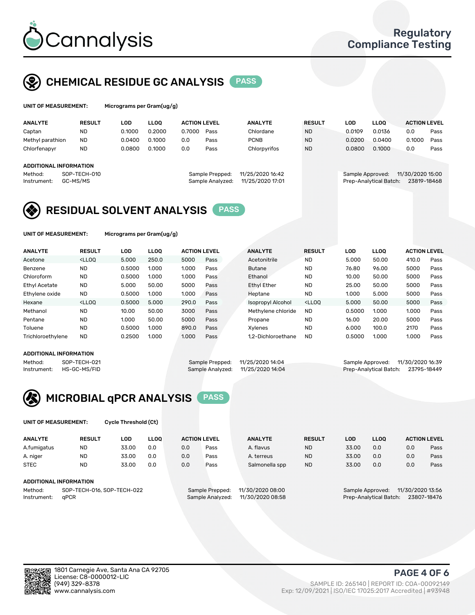

## CHEMICAL RESIDUE GC ANALYSIS PASS

| UNIT OF MEASUREMENT: | Micr |
|----------------------|------|
|----------------------|------|

rograms per Gram(ug/g)

| <b>ANALYTE</b>         | <b>RESULT</b> | LOD    | <b>LLOO</b> | <b>ACTION LEVEL</b> |                  | <b>ANALYTE</b>   | <b>RESULT</b> | LOD              | <b>LLOO</b>            | <b>ACTION LEVEL</b> |      |
|------------------------|---------------|--------|-------------|---------------------|------------------|------------------|---------------|------------------|------------------------|---------------------|------|
| Captan                 | <b>ND</b>     | 0.1000 | 0.2000      | 0.7000              | Pass             | Chlordane        | <b>ND</b>     | 0.0109           | 0.0136                 | 0.0                 | Pass |
| Methyl parathion       | <b>ND</b>     | 0.0400 | 0.1000      | 0.0                 | Pass             | <b>PCNB</b>      | <b>ND</b>     | 0.0200           | 0.0400                 | 0.1000              | Pass |
| Chlorfenapyr           | <b>ND</b>     | 0.0800 | 0.1000      | 0.0                 | Pass             | Chlorpyrifos     | <b>ND</b>     | 0.0800           | 0.1000                 | 0.0                 | Pass |
|                        |               |        |             |                     |                  |                  |               |                  |                        |                     |      |
| ADDITIONAL INFORMATION |               |        |             |                     |                  |                  |               |                  |                        |                     |      |
| Method:                | SOP-TECH-010  |        |             |                     | Sample Prepped:  | 11/25/2020 16:42 |               | Sample Approved: |                        | 11/30/2020 15:00    |      |
| Instrument:            | GC-MS/MS      |        |             |                     | Sample Analyzed: | 11/25/2020 17:01 |               |                  | Prep-Analytical Batch: | 23819-18468         |      |
|                        |               |        |             |                     |                  |                  |               |                  |                        |                     |      |

## RESIDUAL SOLVENT ANALYSIS PASS

UNIT OF MEASUREMENT: Micrograms per Gram(ug/g)

| <b>ANALYTE</b>       | <b>RESULT</b>                                                                                                                                                             | LOD    | <b>LLOO</b> | <b>ACTION LEVEL</b> |      | <b>ANALYTE</b>           | <b>RESULT</b>                                                               | LOD    | <b>LLOO</b> | <b>ACTION LEVEL</b> |      |
|----------------------|---------------------------------------------------------------------------------------------------------------------------------------------------------------------------|--------|-------------|---------------------|------|--------------------------|-----------------------------------------------------------------------------|--------|-------------|---------------------|------|
| Acetone              | <lloo< td=""><td>5.000</td><td>250.0</td><td>5000</td><td>Pass</td><td>Acetonitrile</td><td><b>ND</b></td><td>5.000</td><td>50.00</td><td>410.0</td><td>Pass</td></lloo<> | 5.000  | 250.0       | 5000                | Pass | Acetonitrile             | <b>ND</b>                                                                   | 5.000  | 50.00       | 410.0               | Pass |
| Benzene              | <b>ND</b>                                                                                                                                                                 | 0.5000 | 1.000       | 1.000               | Pass | <b>Butane</b>            | <b>ND</b>                                                                   | 76.80  | 96.00       | 5000                | Pass |
| Chloroform           | <b>ND</b>                                                                                                                                                                 | 0.5000 | 1.000       | 1.000               | Pass | Ethanol                  | <b>ND</b>                                                                   | 10.00  | 50.00       | 5000                | Pass |
| <b>Ethyl Acetate</b> | <b>ND</b>                                                                                                                                                                 | 5.000  | 50.00       | 5000                | Pass | <b>Ethyl Ether</b>       | <b>ND</b>                                                                   | 25.00  | 50.00       | 5000                | Pass |
| Ethylene oxide       | <b>ND</b>                                                                                                                                                                 | 0.5000 | 1.000       | 1.000               | Pass | Heptane                  | <b>ND</b>                                                                   | 1.000  | 5.000       | 5000                | Pass |
| Hexane               | $<$ LLOO                                                                                                                                                                  | 0.5000 | 5.000       | 290.0               | Pass | <b>Isopropyl Alcohol</b> | <lloo< td=""><td>5.000</td><td>50.00</td><td>5000</td><td>Pass</td></lloo<> | 5.000  | 50.00       | 5000                | Pass |
| Methanol             | <b>ND</b>                                                                                                                                                                 | 10.00  | 50.00       | 3000                | Pass | Methylene chloride       | <b>ND</b>                                                                   | 0.5000 | 1.000       | 1.000               | Pass |
| Pentane              | <b>ND</b>                                                                                                                                                                 | 1.000  | 50.00       | 5000                | Pass | Propane                  | <b>ND</b>                                                                   | 16.00  | 20.00       | 5000                | Pass |
| Toluene              | <b>ND</b>                                                                                                                                                                 | 0.5000 | 1.000       | 890.0               | Pass | Xvlenes                  | <b>ND</b>                                                                   | 6.000  | 100.0       | 2170                | Pass |
| Trichloroethylene    | <b>ND</b>                                                                                                                                                                 | 0.2500 | 1.000       | 1.000               | Pass | 1.2-Dichloroethane       | <b>ND</b>                                                                   | 0.5000 | 1.000       | 1.000               | Pass |

#### ADDITIONAL INFORMATION

|         | ADDITIONAL INFORMATION   |                                   |                                    |  |
|---------|--------------------------|-----------------------------------|------------------------------------|--|
| Method: | SOP-TECH-021             | Sample Prepped: 11/25/2020 14:04  | Sample Approved: 11/30/2020 16:39  |  |
|         | Instrument: HS-GC-MS/FID | Sample Analyzed: 11/25/2020 14:04 | Prep-Analytical Batch: 23795-18449 |  |



UNIT OF MEASUREMENT: Cycle Threshold (Ct)

| <b>ANALYTE</b>                        | <b>RESULT</b>                 | LOD   | <b>LLOO</b> |     | <b>ACTION LEVEL</b> | <b>ANALYTE</b>   | <b>RESULT</b> | <b>LOD</b> | <b>LLOO</b>      |                  | <b>ACTION LEVEL</b> |
|---------------------------------------|-------------------------------|-------|-------------|-----|---------------------|------------------|---------------|------------|------------------|------------------|---------------------|
| A.fumigatus                           | <b>ND</b>                     | 33.00 | 0.0         | 0.0 | Pass                | A. flavus        | <b>ND</b>     | 33.00      | 0.0              | 0.0              | Pass                |
| A. niger                              | <b>ND</b>                     | 33.00 | 0.0         | 0.0 | Pass                | A. terreus       | <b>ND</b>     | 33.00      | 0.0              | 0.0              | Pass                |
| <b>STEC</b>                           | <b>ND</b>                     | 33.00 | 0.0         | 0.0 | Pass                | Salmonella spp   | <b>ND</b>     | 33.00      | 0.0              | 0.0              | Pass                |
|                                       | <b>ADDITIONAL INFORMATION</b> |       |             |     |                     |                  |               |            |                  |                  |                     |
| SOP-TECH-016, SOP-TECH-022<br>Method: |                               |       |             |     | Sample Prepped:     | 11/30/2020 08:00 |               |            | Sample Approved: | 11/30/2020 13:56 |                     |

Instrument: qPCR Sample Analyzed: 11/30/2020 08:58 Prep-Analytical Batch: 23807-18476

PAGE 4 OF 6

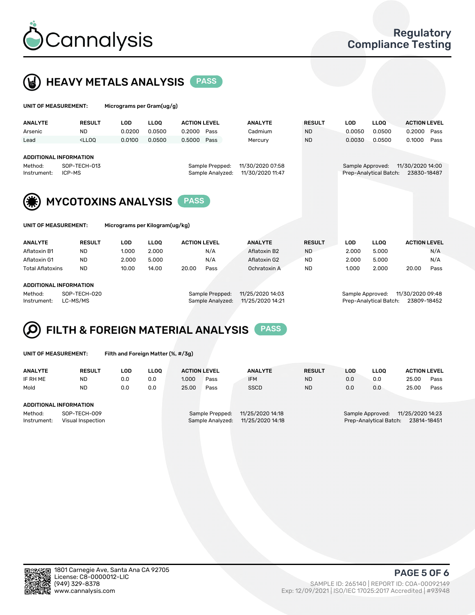



| UNIT OF MEASUREMENT:                                                                                                                                             |                                                                                                                                                                             | Micrograms per Gram(ug/g) |             |                     |      |                |               |                                                                               |             |                     |      |
|------------------------------------------------------------------------------------------------------------------------------------------------------------------|-----------------------------------------------------------------------------------------------------------------------------------------------------------------------------|---------------------------|-------------|---------------------|------|----------------|---------------|-------------------------------------------------------------------------------|-------------|---------------------|------|
| <b>ANALYTE</b>                                                                                                                                                   | <b>RESULT</b>                                                                                                                                                               | <b>LOD</b>                | <b>LLOO</b> | <b>ACTION LEVEL</b> |      | <b>ANALYTE</b> | <b>RESULT</b> | <b>LOD</b>                                                                    | <b>LLOQ</b> | <b>ACTION LEVEL</b> |      |
| Arsenic                                                                                                                                                          | <b>ND</b>                                                                                                                                                                   | 0.0200                    | 0.0500      | 0.2000              | Pass | Cadmium        | <b>ND</b>     | 0.0050                                                                        | 0.0500      | 0.2000              | Pass |
| Lead                                                                                                                                                             | <lloo< td=""><td>0.0100</td><td>0.0500</td><td>0.5000</td><td>Pass</td><td>Mercury</td><td><b>ND</b></td><td>0.0030</td><td>0.0500</td><td>0.1000</td><td>Pass</td></lloo<> | 0.0100                    | 0.0500      | 0.5000              | Pass | Mercury        | <b>ND</b>     | 0.0030                                                                        | 0.0500      | 0.1000              | Pass |
| <b>ADDITIONAL INFORMATION</b><br>11/30/2020 07:58<br>SOP-TECH-013<br>Method:<br>Sample Prepped:<br>ICP-MS<br>11/30/2020 11:47<br>Sample Analyzed:<br>Instrument: |                                                                                                                                                                             |                           |             |                     |      |                |               | 11/30/2020 14:00<br>Sample Approved:<br>Prep-Analytical Batch:<br>23830-18487 |             |                     |      |
| <b>MYCOTOXINS ANALYSIS</b><br><b>PASS</b>                                                                                                                        |                                                                                                                                                                             |                           |             |                     |      |                |               |                                                                               |             |                     |      |
| UNIT OF MEASUREMENT:<br>Micrograms per Kilogram(ug/kg)                                                                                                           |                                                                                                                                                                             |                           |             |                     |      |                |               |                                                                               |             |                     |      |
| <b>ANALYTE</b>                                                                                                                                                   | <b>RESULT</b>                                                                                                                                                               | <b>LOD</b>                | <b>LLOO</b> | <b>ACTION LEVEL</b> |      | <b>ANALYTE</b> | <b>RESULT</b> | <b>LOD</b>                                                                    | <b>LLOQ</b> | <b>ACTION LEVEL</b> |      |
| Aflatoxin B1                                                                                                                                                     | <b>ND</b>                                                                                                                                                                   | 1.000                     | 2.000       |                     | N/A  | Aflatoxin B2   | <b>ND</b>     | 2.000                                                                         | 5.000       |                     | N/A  |
| Aflatoxin G1                                                                                                                                                     | <b>ND</b>                                                                                                                                                                   | 2.000                     | 5.000       |                     | N/A  | Aflatoxin G2   | <b>ND</b>     | 2.000                                                                         | 5.000       |                     | N/A  |
| <b>Total Aflatoxins</b>                                                                                                                                          | <b>ND</b>                                                                                                                                                                   | 10.00                     | 14.00       | 20.00               | Pass | Ochratoxin A   | <b>ND</b>     | 1.000                                                                         | 2.000       | 20.00               | Pass |

#### ADDITIONAL INFORMATION

Method: SOP-TECH-020 Sample Prepped: 11/25/2020 14:03 Sample Approved: 11/30/2020 09:48 Instrument: LC-MS/MS Sample Analyzed: 11/25/2020 14:21 Prep-Analytical Batch: 23809-18452

### FILTH & FOREIGN MATERIAL ANALYSIS PASS Q

UNIT OF MEASUREMENT: Filth and Foreign Matter (%, #/3g)

| <b>ANALYTE</b>         | <b>RESULT</b>                     | LOD | <b>LLOO</b> | <b>ACTION LEVEL</b> |                                     | <b>ANALYTE</b>                       | <b>RESULT</b> | LOD | <b>LLOO</b>                                | <b>ACTION LEVEL</b>             |      |
|------------------------|-----------------------------------|-----|-------------|---------------------|-------------------------------------|--------------------------------------|---------------|-----|--------------------------------------------|---------------------------------|------|
| IF RH ME               | <b>ND</b>                         | 0.0 | 0.0         | 1.000               | Pass                                | <b>IFM</b>                           | <b>ND</b>     | 0.0 | 0.0                                        | 25.00                           | Pass |
| Mold                   | <b>ND</b>                         | 0.0 | 0.0         | 25.00               | Pass                                | <b>SSCD</b>                          | <b>ND</b>     | 0.0 | 0.0                                        | 25.00                           | Pass |
| ADDITIONAL INFORMATION |                                   |     |             |                     |                                     |                                      |               |     |                                            |                                 |      |
| Method:<br>Instrument: | SOP-TECH-009<br>Visual Inspection |     |             |                     | Sample Prepped:<br>Sample Analyzed: | 11/25/2020 14:18<br>11/25/2020 14:18 |               |     | Sample Approved:<br>Prep-Analytical Batch: | 11/25/2020 14:23<br>23814-18451 |      |



PAGE 5 OF 6